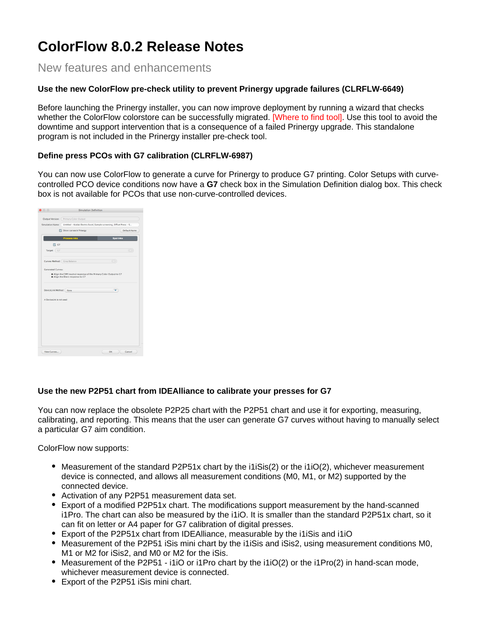# **ColorFlow 8.0.2 Release Notes**

New features and enhancements

#### **Use the new ColorFlow pre-check utility to prevent Prinergy upgrade failures (CLRFLW-6649)**

Before launching the Prinergy installer, you can now improve deployment by running a wizard that checks whether the ColorFlow colorstore can be successfully migrated. [Where to find tool]. Use this tool to avoid the downtime and support intervention that is a consequence of a failed Prinergy upgrade. This standalone program is not included in the Prinergy installer pre-check tool.

#### **Define press PCOs with G7 calibration (CLRFLW-6987)**

You can now use ColorFlow to generate a curve for Prinergy to produce G7 printing. Color Setups with curvecontrolled PCO device conditions now have a **G7** check box in the Simulation Definition dialog box. This check box is not available for PCOs that use non-curve-controlled devices.

| Output Version:             | Primary Color Output                                                                                 |                  |
|-----------------------------|------------------------------------------------------------------------------------------------------|------------------|
| Simulation Name:            | Untitled - Kodak Electra Excel, Sample screening, Offset Press - S                                   |                  |
|                             |                                                                                                      |                  |
|                             | Show curves in Prinergy                                                                              | Default Name     |
|                             | <b>Process Inks</b>                                                                                  | <b>Spot Inks</b> |
| $\Box$ G7                   |                                                                                                      |                  |
| Target: (G7                 |                                                                                                      |                  |
|                             |                                                                                                      |                  |
| Curves Method: Gray Balance |                                                                                                      | œ                |
|                             |                                                                                                      |                  |
| <b>Generated Curves:</b>    |                                                                                                      |                  |
|                             | . Align the CMY neutral response of the Primary Color Output to G7<br>Align the Black response to G7 |                  |
| DeviceLink Method: None     |                                                                                                      |                  |
| A Devicel ink is not used.  |                                                                                                      |                  |
|                             |                                                                                                      |                  |
|                             |                                                                                                      |                  |
|                             |                                                                                                      |                  |
|                             |                                                                                                      |                  |
|                             |                                                                                                      |                  |
|                             |                                                                                                      |                  |
|                             |                                                                                                      |                  |
|                             |                                                                                                      |                  |
|                             |                                                                                                      |                  |

#### **Use the new P2P51 chart from IDEAlliance to calibrate your presses for G7**

You can now replace the obsolete P2P25 chart with the P2P51 chart and use it for exporting, measuring, calibrating, and reporting. This means that the user can generate G7 curves without having to manually select a particular G7 aim condition.

ColorFlow now supports:

- $\bullet$  Measurement of the standard P2P51x chart by the i1iSis(2) or the i1iO(2), whichever measurement device is connected, and allows all measurement conditions (M0, M1, or M2) supported by the connected device.
- Activation of any P2P51 measurement data set.
- Export of a modified P2P51x chart. The modifications support measurement by the hand-scanned i1Pro. The chart can also be measured by the i1iO. It is smaller than the standard P2P51x chart, so it can fit on letter or A4 paper for G7 calibration of digital presses.
- Export of the P2P51x chart from IDEAlliance, measurable by the i1iSis and i1iO
- Measurement of the P2P51 iSis mini chart by the i1iSis and iSis2, using measurement conditions M0, M1 or M2 for iSis2, and M0 or M2 for the iSis.
- $\bullet$  Measurement of the P2P51 i1iO or i1Pro chart by the i1iO(2) or the i1Pro(2) in hand-scan mode, whichever measurement device is connected.
- Export of the P2P51 iSis mini chart.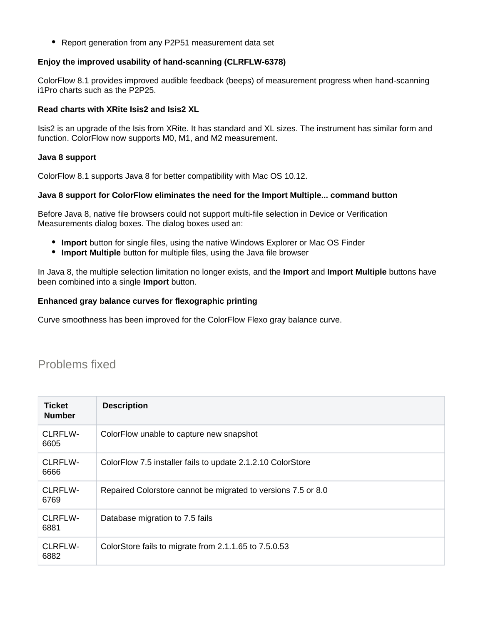• Report generation from any P2P51 measurement data set

#### **Enjoy the improved usability of hand-scanning (CLRFLW-6378)**

ColorFlow 8.1 provides improved audible feedback (beeps) of measurement progress when hand-scanning i1Pro charts such as the P2P25.

#### **Read charts with XRite Isis2 and Isis2 XL**

Isis2 is an upgrade of the Isis from XRite. It has standard and XL sizes. The instrument has similar form and function. ColorFlow now supports M0, M1, and M2 measurement.

#### **Java 8 support**

ColorFlow 8.1 supports Java 8 for better compatibility with Mac OS 10.12.

#### **Java 8 support for ColorFlow eliminates the need for the Import Multiple... command button**

Before Java 8, native file browsers could not support multi-file selection in Device or Verification Measurements dialog boxes. The dialog boxes used an:

- **Import** button for single files, using the native Windows Explorer or Mac OS Finder
- **Import Multiple** button for multiple files, using the Java file browser

In Java 8, the multiple selection limitation no longer exists, and the **Import** and **Import Multiple** buttons have been combined into a single **Import** button.

#### **Enhanced gray balance curves for flexographic printing**

Curve smoothness has been improved for the ColorFlow Flexo gray balance curve.

### Problems fixed

| <b>Ticket</b><br><b>Number</b> | <b>Description</b>                                            |
|--------------------------------|---------------------------------------------------------------|
| CLRFLW-<br>6605                | ColorFlow unable to capture new snapshot                      |
| CLRFLW-<br>6666                | ColorFlow 7.5 installer fails to update 2.1.2.10 ColorStore   |
| CLRFLW-<br>6769                | Repaired Colorstore cannot be migrated to versions 7.5 or 8.0 |
| CLRFLW-<br>6881                | Database migration to 7.5 fails                               |
| CLRFLW-<br>6882                | ColorStore fails to migrate from 2.1.1.65 to 7.5.0.53         |